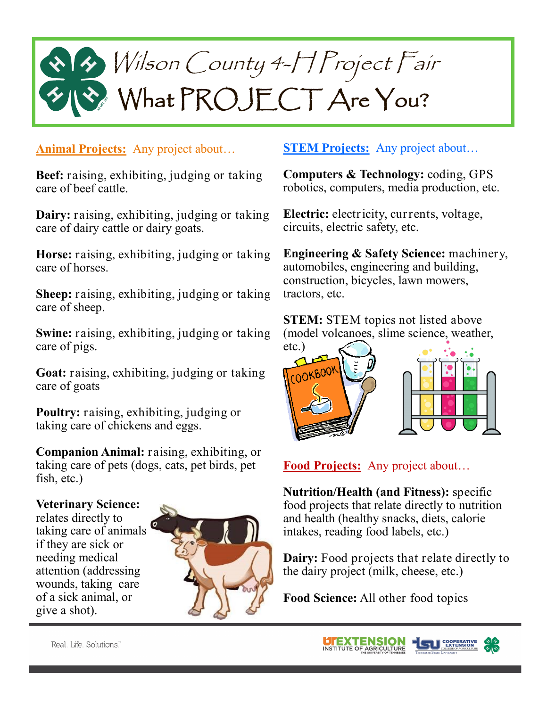# Wilson County 4-H Project Fair What PROJECT Are You?

### **Animal Projects:** Any project about…

**Beef:** raising, exhibiting, judging or taking care of beef cattle.

**Dairy:** raising, exhibiting, judging or taking care of dairy cattle or dairy goats.

**Horse:** raising, exhibiting, judging or taking care of horses.

**Sheep:** raising, exhibiting, judging or taking care of sheep.

**Swine:** raising, exhibiting, judging or taking care of pigs.

**Goat:** raising, exhibiting, judging or taking care of goats

**Poultry:** raising, exhibiting, judging or taking care of chickens and eggs.

**Companion Animal:** raising, exhibiting, or taking care of pets (dogs, cats, pet birds, pet fish, etc.)

#### **Veterinary Science:**

relates directly to taking care of animals if they are sick or needing medical attention (addressing wounds, taking care of a sick animal, or give a shot).



# **STEM Projects:** Any project about...

**Computers & Technology:** coding, GPS robotics, computers, media production, etc.

**Electric:** electricity, currents, voltage, circuits, electric safety, etc.

**Engineering & Safety Science:** machinery, automobiles, engineering and building, construction, bicycles, lawn mowers, tractors, etc.

**STEM:** STEM topics not listed above (model volcanoes, slime science, weather,



# **Food Projects:** Any project about…

**Nutrition/Health (and Fitness):** specific food projects that relate directly to nutrition and health (healthy snacks, diets, calorie intakes, reading food labels, etc.)

**Dairy:** Food projects that relate directly to the dairy project (milk, cheese, etc.)

**Food Science:** All other food topics

Real, Life, Solutions."